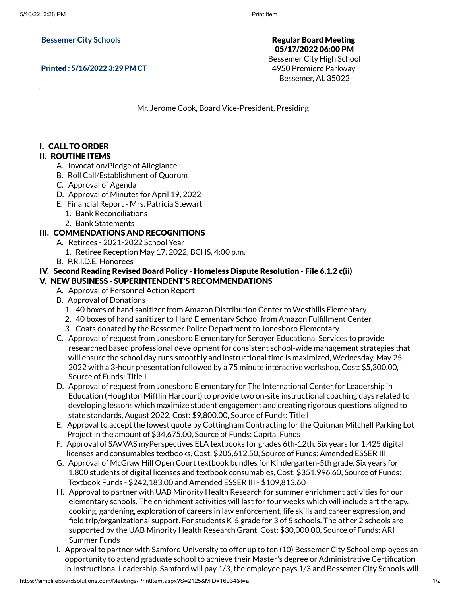**Bessemer City Schools**

Printed : 5/16/2022 3:29 PM CT

Regular Board Meeting 05/17/2022 06:00 PM Bessemer City High School 4950 Premiere Parkway Bessemer, AL 35022

Mr. Jerome Cook, Board Vice-President, Presiding

### I. CALL TO ORDER

### II. ROUTINE ITEMS

- A. Invocation/Pledge of Allegiance
- B. Roll Call/Establishment of Quorum
- C. Approval of Agenda
- D. Approval of Minutes for April 19, 2022
- E. Financial Report Mrs. Patricia Stewart
	- 1. Bank Reconciliations
	- 2. Bank Statements

#### III. COMMENDATIONS AND RECOGNITIONS

- A. Retirees 2021-2022 School Year
	- 1. Retiree Reception May 17, 2022, BCHS, 4:00 p.m.
- B. P.R.I.D.E. Honorees

# IV. Second Reading Revised Board Policy - Homeless Dispute Resolution - File 6.1.2 c(ii)

# V. NEW BUSINESS - SUPERINTENDENT'S RECOMMENDATIONS

- A. Approval of Personnel Action Report
- B. Approval of Donations
	- 1. 40 boxes of hand sanitizer from Amazon Distribution Center to Westhills Elementary
	- 2. 40 boxes of hand sanitizer to Hard Elementary School from Amazon Fulfillment Center
	- 3. Coats donated by the Bessemer Police Department to Jonesboro Elementary
- C. Approval of request from Jonesboro Elementary for Seroyer Educational Services to provide researched based professional development for consistent school-wide management strategies that will ensure the school day runs smoothly and instructional time is maximized, Wednesday, May 25, 2022 with a 3-hour presentation followed by a 75 minute interactive workshop, Cost: \$5,300.00, Source of Funds: Title I
- D. Approval of request from Jonesboro Elementary for The International Center for Leadership in Education (Houghton Mifflin Harcourt) to provide two on-site instructional coaching days related to developing lessons which maximize student engagement and creating rigorous questions aligned to state standards, August 2022, Cost: \$9,800.00, Source of Funds: Title I
- E. Approval to accept the lowest quote by Cottingham Contracting for the Quitman Mitchell Parking Lot Project in the amount of \$34,675.00, Source of Funds: Capital Funds
- F. Approval of SAVVAS myPerspectives ELA textbooks for grades 6th-12th. Six years for 1,425 digital licenses and consumables textbooks, Cost: \$205,612.50, Source of Funds: Amended ESSER III
- G. Approval of McGraw Hill Open Court textbook bundles for Kindergarten-5th grade. Six years for 1,800 students of digital licenses and textbook consumables, Cost: \$351,996.60, Source of Funds: Textbook Funds - \$242,183.00 and Amended ESSER III - \$109,813.60
- H. Approval to partner with UAB Minority Health Research for summer enrichment activities for our elementary schools. The enrichment activities will last for four weeks which will include art therapy, cooking, gardening, exploration of careers in law enforcement, life skills and career expression, and field trip/organizational support. For students K-5 grade for 3 of 5 schools. The other 2 schools are supported by the UAB Minority Health Research Grant, Cost: \$30,000.00, Source of Funds: ARI Summer Funds
- I. Approval to partner with Samford University to offer up to ten (10) Bessemer City School employees an opportunity to attend graduate school to achieve their Master's degree or Administrative Certification in Instructional Leadership. Samford will pay 1/3, the employee pays 1/3 and Bessemer City Schools will